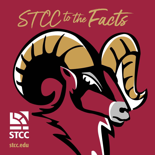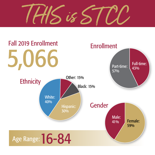$1$ HIS is ST

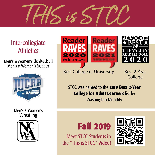$H\delta$  is  $\epsilon$ 

### Intercollegiate **Athletics**

Men's & Women's Basketball Men's & Women's Soccer



Men's & Women's Wrestling







Best College or University Best 2-Year

College

STCC was named to the **2019 Best 2-Year College for Adult Learners** list by Washington Monthly

# **Fall 2019**

Meet STCC Students in the "This is STCC" Video!

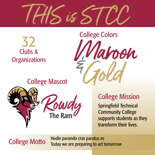

Clubs & **Organizations** 32



College Mascot



### College Mission

Springfield Technical Community College supports students as they transform their lives.

College Motto Hodie parando cras paratus es Today we are preparing to act tomorrow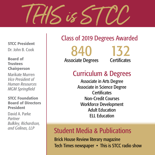

STCC President Dr. John B. Cook

#### Board of Trustees Chairperson

Marikate Murren *Vice President of Human Resources MGM Springfield*

#### STCC Foundation Board of Directors President

David A. Parke *Partner Bulkley, Richardson, and Gelinas, LLP*

#### Class of 2019 Degrees Awarded

840 Associate Degrees

132 **Certificates** 

### Curriculum & Degrees

Associate in Arts Degree Associate in Science Degree **Certificates** Non-Credit Courses Workforce Development Adult Education ELL Education

### Student Media & Publications

Brick House Review literary magazine Tech Times newspaper • This is STCC radio show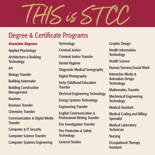THIS is ST CC

#### Degree & Certificate Programs

#### **Associate Degrees**

Applied Psychology

Architecture & Building **Technology** 

Art

Biology Transfer

Building Automatio

Building Construction Management

**Business** 

Business Transfer

Chemistry Transfer

Communication & Digital Media **Transfer** 

Computer & IT Security

Computer Science Transfer

Computer Systems Engineering

**Technology** Criminal Justice Criminal Justice Transfer Dental Hygiene Diagnostic Medical Sonography Digital Photography Early Childhood Education **Transfer** Electrical Engineering Technology Energy Systems Technology Engineering Transfer English Communication & Professional Writing Transfer Fire Investigation Transfer Fire Protection & Safety **Technology** General Studies

Graphic Design Health Information **Technology** Health Science Human Services/Social Work Interactive Media & Animation Design **Technology** Mathematics Transfer Mechanical Engineering **Technology** Medical Assistant Medical Coding and Billing **Specialist** Medical Laboratory **Technician** Nursing Occupational Therapy Assistant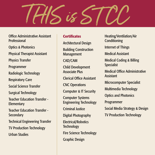THIS is ST CC

Office Administrative Assistant **Professional** Optics & Photonics

Physical Therapist Assistant

Physics Transfer

Programmer

Radiologic Technology

Respiratory Care

Social Science Transfer

Surgical Technology

Teacher Education Transfer - **Elementary** 

Teacher Education Transfer - **Secondary** 

Technical Engineering Transfer

TV Production Technology

Urban Studies

#### **Certificates**

Architectural Design

Building Construction Management

CAD/CAM

Child Development Associate Plus

Clerical Office Assistant

CNC Operations

Computer & IT Security

Computer Systems Engineering Technology

Criminal Justice

Digital Photography

Electrical/Robotics **Technology** 

Fire Science Technology

Graphic Design

Heating/Ventilation/Air **Conditioning** 

Internet of Things

Medical Assistant

Medical Coding & Billing **Specialist** 

Medical Office Administrative Assistant

Microcomputer Specialist

Multimedia Technology

Optics and Photonics

Programmer

Social Media Strategy & Design

TV Production Technology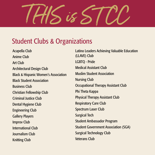$\sqrt{8}$ 

### Student Clubs & Organizations

Acapella Club Anime Club Art Club Architectural Design Club Black & Hispanic Women's Association Black Student Association Business Club Christian Fellowship Club Criminal Justice Club Dental Hygiene Club Engineering Club Gallery Players Improv Club International Club Journalism Club Knitting Club

Latino Leaders Achieving Valuable Education (LLAVE) Club LGBTQ - Pride Medical Assistant Club Muslim Student Association Nursing Club Occupational Therapy Assistant Club Phi Theta Kappa Physical Therapy Assistant Club Respiratory Care Club Spectrum Laser Club Surgical Tech Student Ambassador Program Student Government Association (SGA) Surgical Technology Club Veterans Club